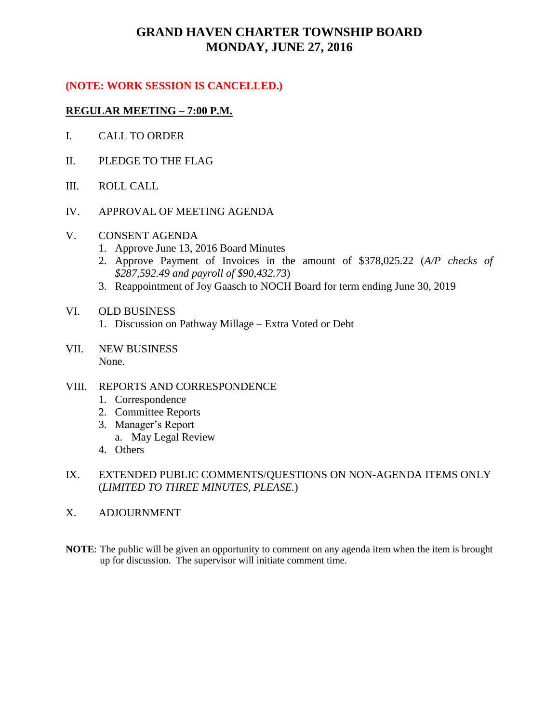# **GRAND HAVEN CHARTER TOWNSHIP BOARD MONDAY, JUNE 27, 2016**

### **(NOTE: WORK SESSION IS CANCELLED.)**

#### **REGULAR MEETING – 7:00 P.M.**

- I. CALL TO ORDER
- II. PLEDGE TO THE FLAG
- III. ROLL CALL
- IV. APPROVAL OF MEETING AGENDA
- V. CONSENT AGENDA
	- 1. Approve June 13, 2016 Board Minutes
	- 2. Approve Payment of Invoices in the amount of \$378,025.22 (*A/P checks of \$287,592.49 and payroll of \$90,432.73*)
	- 3. Reappointment of Joy Gaasch to NOCH Board for term ending June 30, 2019

#### VI. OLD BUSINESS

- 1. Discussion on Pathway Millage Extra Voted or Debt
- VII. NEW BUSINESS None.

#### VIII. REPORTS AND CORRESPONDENCE

- 1. Correspondence
- 2. Committee Reports
- 3. Manager's Report
	- a. May Legal Review
- 4. Others
- IX. EXTENDED PUBLIC COMMENTS/QUESTIONS ON NON-AGENDA ITEMS ONLY (*LIMITED TO THREE MINUTES, PLEASE.*)
- X. ADJOURNMENT
- **NOTE**: The public will be given an opportunity to comment on any agenda item when the item is brought up for discussion. The supervisor will initiate comment time.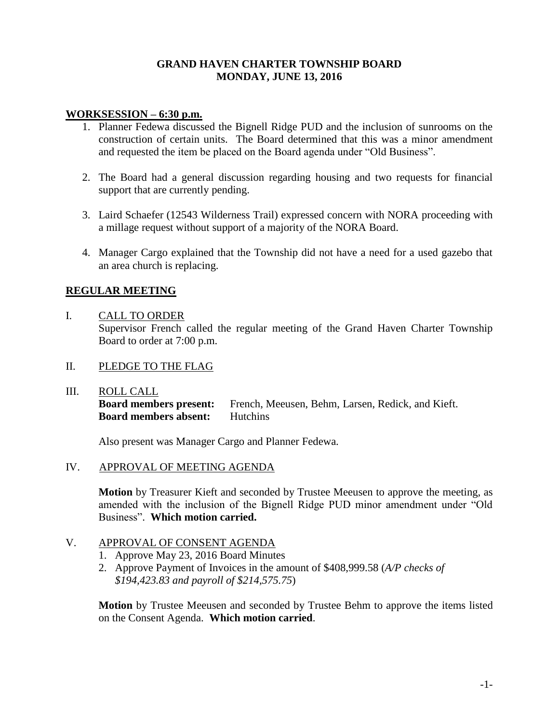#### **GRAND HAVEN CHARTER TOWNSHIP BOARD MONDAY, JUNE 13, 2016**

#### **WORKSESSION – 6:30 p.m.**

- 1. Planner Fedewa discussed the Bignell Ridge PUD and the inclusion of sunrooms on the construction of certain units. The Board determined that this was a minor amendment and requested the item be placed on the Board agenda under "Old Business".
- 2. The Board had a general discussion regarding housing and two requests for financial support that are currently pending.
- 3. Laird Schaefer (12543 Wilderness Trail) expressed concern with NORA proceeding with a millage request without support of a majority of the NORA Board.
- 4. Manager Cargo explained that the Township did not have a need for a used gazebo that an area church is replacing.

### **REGULAR MEETING**

#### I. CALL TO ORDER

Supervisor French called the regular meeting of the Grand Haven Charter Township Board to order at 7:00 p.m.

- II. PLEDGE TO THE FLAG
- III. ROLL CALL

**Board members present:** French, Meeusen, Behm, Larsen, Redick, and Kieft. **Board members absent:** Hutchins

Also present was Manager Cargo and Planner Fedewa.

IV. APPROVAL OF MEETING AGENDA

**Motion** by Treasurer Kieft and seconded by Trustee Meeusen to approve the meeting, as amended with the inclusion of the Bignell Ridge PUD minor amendment under "Old Business". **Which motion carried.**

#### V. APPROVAL OF CONSENT AGENDA

- 1. Approve May 23, 2016 Board Minutes
- 2. Approve Payment of Invoices in the amount of \$408,999.58 (*A/P checks of \$194,423.83 and payroll of \$214,575.75*)

**Motion** by Trustee Meeusen and seconded by Trustee Behm to approve the items listed on the Consent Agenda. **Which motion carried**.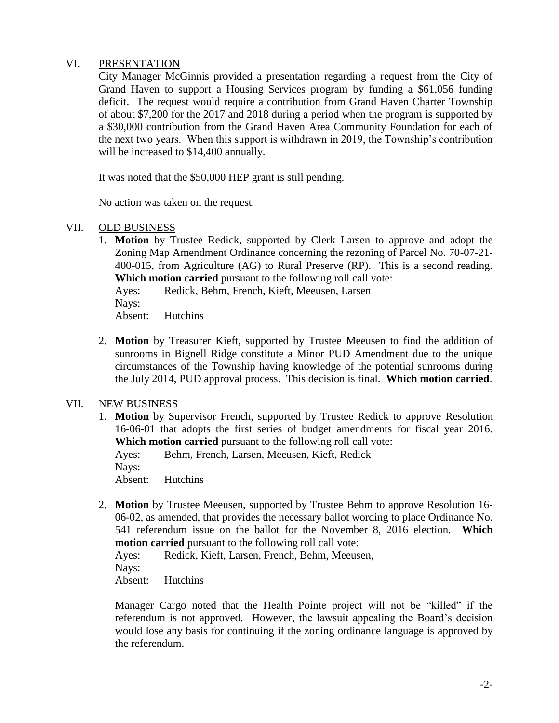#### VI. PRESENTATION

City Manager McGinnis provided a presentation regarding a request from the City of Grand Haven to support a Housing Services program by funding a \$61,056 funding deficit. The request would require a contribution from Grand Haven Charter Township of about \$7,200 for the 2017 and 2018 during a period when the program is supported by a \$30,000 contribution from the Grand Haven Area Community Foundation for each of the next two years. When this support is withdrawn in 2019, the Township's contribution will be increased to \$14,400 annually.

It was noted that the \$50,000 HEP grant is still pending.

No action was taken on the request.

#### VII. OLD BUSINESS

1. **Motion** by Trustee Redick, supported by Clerk Larsen to approve and adopt the Zoning Map Amendment Ordinance concerning the rezoning of Parcel No. 70-07-21- 400-015, from Agriculture (AG) to Rural Preserve (RP). This is a second reading. **Which motion carried** pursuant to the following roll call vote:

Ayes: Redick, Behm, French, Kieft, Meeusen, Larsen Nays: Absent: Hutchins

2. **Motion** by Treasurer Kieft, supported by Trustee Meeusen to find the addition of sunrooms in Bignell Ridge constitute a Minor PUD Amendment due to the unique circumstances of the Township having knowledge of the potential sunrooms during the July 2014, PUD approval process. This decision is final. **Which motion carried**.

#### VII. NEW BUSINESS

1. **Motion** by Supervisor French, supported by Trustee Redick to approve Resolution 16-06-01 that adopts the first series of budget amendments for fiscal year 2016. **Which motion carried** pursuant to the following roll call vote:

Ayes: Behm, French, Larsen, Meeusen, Kieft, Redick Nays: Absent: Hutchins

2. **Motion** by Trustee Meeusen, supported by Trustee Behm to approve Resolution 16- 06-02, as amended, that provides the necessary ballot wording to place Ordinance No. 541 referendum issue on the ballot for the November 8, 2016 election. **Which motion carried** pursuant to the following roll call vote:

Ayes: Redick, Kieft, Larsen, French, Behm, Meeusen, Nays: Absent: Hutchins

Manager Cargo noted that the Health Pointe project will not be "killed" if the referendum is not approved. However, the lawsuit appealing the Board's decision would lose any basis for continuing if the zoning ordinance language is approved by the referendum.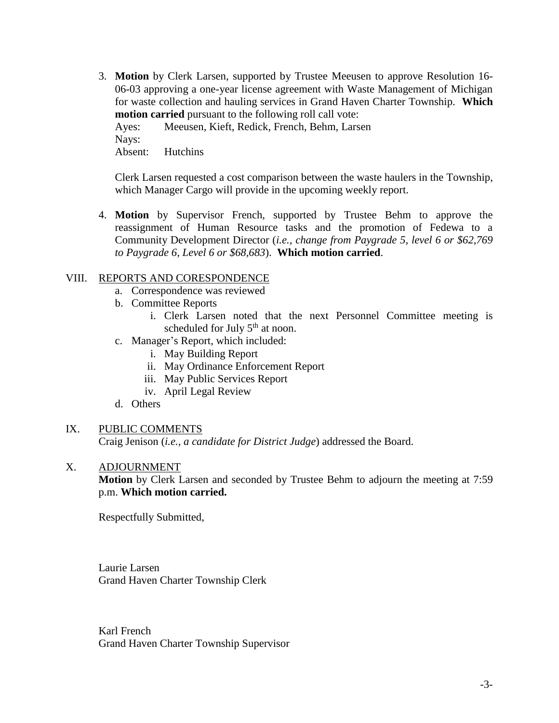3. **Motion** by Clerk Larsen, supported by Trustee Meeusen to approve Resolution 16- 06-03 approving a one-year license agreement with Waste Management of Michigan for waste collection and hauling services in Grand Haven Charter Township. **Which motion carried** pursuant to the following roll call vote:

Ayes: Meeusen, Kieft, Redick, French, Behm, Larsen Nays: Absent: Hutchins

Clerk Larsen requested a cost comparison between the waste haulers in the Township, which Manager Cargo will provide in the upcoming weekly report.

4. **Motion** by Supervisor French, supported by Trustee Behm to approve the reassignment of Human Resource tasks and the promotion of Fedewa to a Community Development Director (*i.e., change from Paygrade 5, level 6 or \$62,769 to Paygrade 6, Level 6 or \$68,683*). **Which motion carried**.

#### VIII. REPORTS AND CORESPONDENCE

- a. Correspondence was reviewed
- b. Committee Reports
	- i. Clerk Larsen noted that the next Personnel Committee meeting is scheduled for July  $5<sup>th</sup>$  at noon.
- c. Manager's Report, which included:
	- i. May Building Report
	- ii. May Ordinance Enforcement Report
	- iii. May Public Services Report
	- iv. April Legal Review
- d. Others

#### IX. PUBLIC COMMENTS

Craig Jenison (*i.e., a candidate for District Judge*) addressed the Board.

#### X. ADJOURNMENT

**Motion** by Clerk Larsen and seconded by Trustee Behm to adjourn the meeting at 7:59 p.m. **Which motion carried.**

Respectfully Submitted,

Laurie Larsen Grand Haven Charter Township Clerk

Karl French Grand Haven Charter Township Supervisor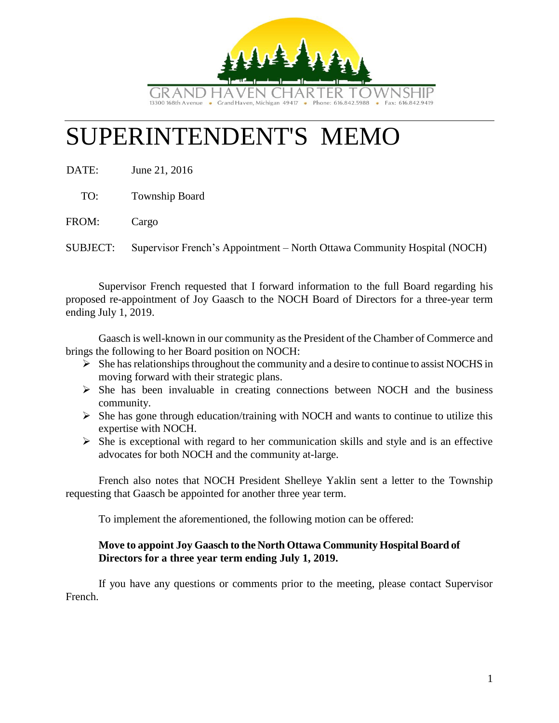

# SUPERINTENDENT'S MEMO

DATE: June 21, 2016

TO: Township Board

FROM: Cargo

SUBJECT: Supervisor French's Appointment – North Ottawa Community Hospital (NOCH)

Supervisor French requested that I forward information to the full Board regarding his proposed re-appointment of Joy Gaasch to the NOCH Board of Directors for a three-year term ending July 1, 2019.

Gaasch is well-known in our community as the President of the Chamber of Commerce and brings the following to her Board position on NOCH:

- $\triangleright$  She has relationships throughout the community and a desire to continue to assist NOCHS in moving forward with their strategic plans.
- $\triangleright$  She has been invaluable in creating connections between NOCH and the business community.
- $\triangleright$  She has gone through education/training with NOCH and wants to continue to utilize this expertise with NOCH.
- $\triangleright$  She is exceptional with regard to her communication skills and style and is an effective advocates for both NOCH and the community at-large.

French also notes that NOCH President Shelleye Yaklin sent a letter to the Township requesting that Gaasch be appointed for another three year term.

To implement the aforementioned, the following motion can be offered:

## **Move to appoint Joy Gaasch to the North Ottawa Community Hospital Board of Directors for a three year term ending July 1, 2019.**

If you have any questions or comments prior to the meeting, please contact Supervisor French.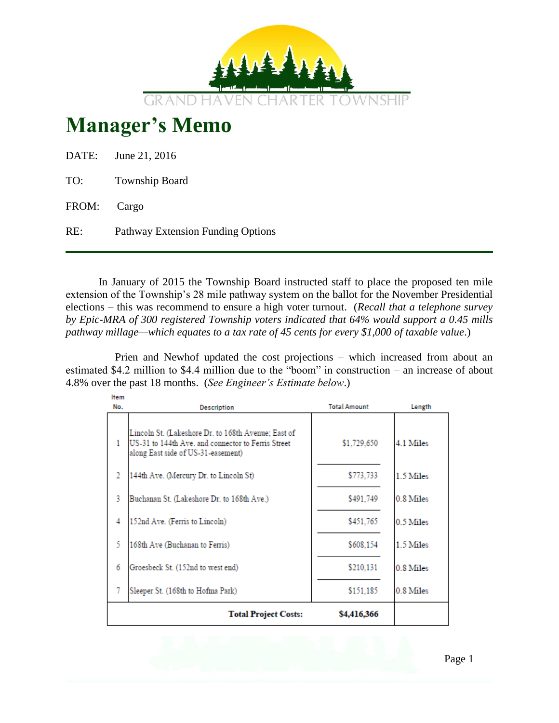

# **Manager's Memo**

|             | DATE: June 21, 2016               |
|-------------|-----------------------------------|
| TO:         | <b>Township Board</b>             |
| FROM: Cargo |                                   |
| RE:         | Pathway Extension Funding Options |

In January of 2015 the Township Board instructed staff to place the proposed ten mile extension of the Township's 28 mile pathway system on the ballot for the November Presidential elections – this was recommend to ensure a high voter turnout. (*Recall that a telephone survey by Epic-MRA of 300 registered Township voters indicated that 64% would support a 0.45 mills pathway millage—which equates to a tax rate of 45 cents for every \$1,000 of taxable value*.)

Prien and Newhof updated the cost projections – which increased from about an estimated \$4.2 million to \$4.4 million due to the "boom" in construction – an increase of about 4.8% over the past 18 months. (*See Engineer's Estimate below*.)

| Item |                                                                                                                                                 |                     |           |
|------|-------------------------------------------------------------------------------------------------------------------------------------------------|---------------------|-----------|
| No.  | <b>Description</b>                                                                                                                              | <b>Total Amount</b> | Length    |
| 1    | Lincoln St. (Lakeshore Dr. to 168th Avenue; East of<br>US-31 to 144th Ave. and connector to Ferris Street<br>along East side of US-31-easement) | \$1,729,650         | 4.1 Miles |
| 2    | 144th Ave. (Mercury Dr. to Lincoln St)                                                                                                          | \$773,733           | 1.5 Miles |
| 3    | Buchanan St. (Lakeshore Dr. to 168th Ave.)                                                                                                      | \$491.749           | 0.8 Miles |
| 4    | 152nd Ave. (Ferris to Lincoln)                                                                                                                  | \$451,765           | 0.5 Miles |
| 5    | 168th Ave (Buchanan to Ferris)                                                                                                                  | \$608,154           | 1.5 Miles |
| 6    | Groesbeck St. (152nd to west end)                                                                                                               | \$210,131           | 0.8 Miles |
| 7    | Sleeper St. (168th to Hofma Park)                                                                                                               | \$151,185           | 0.8 Miles |
|      | <b>Total Project Costs:</b>                                                                                                                     | \$4,416,366         |           |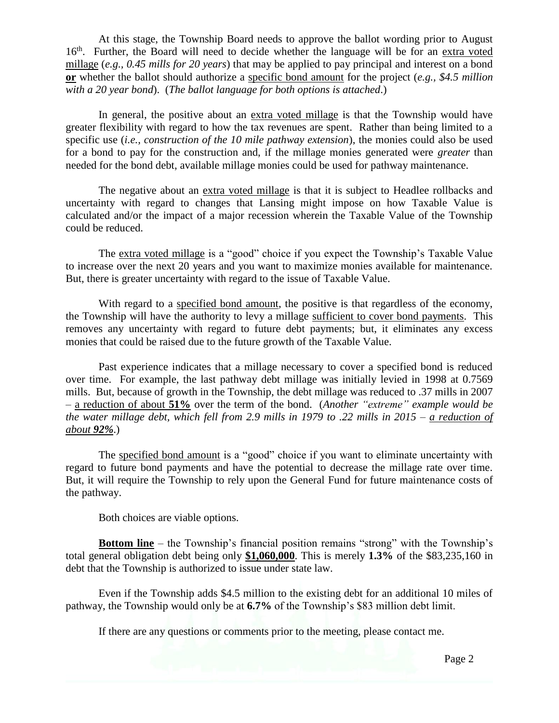At this stage, the Township Board needs to approve the ballot wording prior to August 16<sup>th</sup>. Further, the Board will need to decide whether the language will be for an extra voted millage (*e.g., 0.45 mills for 20 years*) that may be applied to pay principal and interest on a bond **or** whether the ballot should authorize a specific bond amount for the project (*e.g., \$4.5 million with a 20 year bond*). (*The ballot language for both options is attached*.)

In general, the positive about an extra voted millage is that the Township would have greater flexibility with regard to how the tax revenues are spent. Rather than being limited to a specific use (*i.e., construction of the 10 mile pathway extension*), the monies could also be used for a bond to pay for the construction and, if the millage monies generated were *greater* than needed for the bond debt, available millage monies could be used for pathway maintenance.

The negative about an extra voted millage is that it is subject to Headlee rollbacks and uncertainty with regard to changes that Lansing might impose on how Taxable Value is calculated and/or the impact of a major recession wherein the Taxable Value of the Township could be reduced.

The extra voted millage is a "good" choice if you expect the Township's Taxable Value to increase over the next 20 years and you want to maximize monies available for maintenance. But, there is greater uncertainty with regard to the issue of Taxable Value.

With regard to a specified bond amount, the positive is that regardless of the economy, the Township will have the authority to levy a millage sufficient to cover bond payments. This removes any uncertainty with regard to future debt payments; but, it eliminates any excess monies that could be raised due to the future growth of the Taxable Value.

Past experience indicates that a millage necessary to cover a specified bond is reduced over time. For example, the last pathway debt millage was initially levied in 1998 at 0.7569 mills. But, because of growth in the Township, the debt millage was reduced to .37 mills in 2007 – a reduction of about **51%** over the term of the bond. (*Another "extreme" example would be the water millage debt, which fell from 2.9 mills in 1979 to .22 mills in 2015 – a reduction of about 92%*.)

The specified bond amount is a "good" choice if you want to eliminate uncertainty with regard to future bond payments and have the potential to decrease the millage rate over time. But, it will require the Township to rely upon the General Fund for future maintenance costs of the pathway.

Both choices are viable options.

**Bottom line** – the Township's financial position remains "strong" with the Township's total general obligation debt being only **\$1,060,000**. This is merely **1.3%** of the \$83,235,160 in debt that the Township is authorized to issue under state law.

Even if the Township adds \$4.5 million to the existing debt for an additional 10 miles of pathway, the Township would only be at **6.7%** of the Township's \$83 million debt limit.

If there are any questions or comments prior to the meeting, please contact me.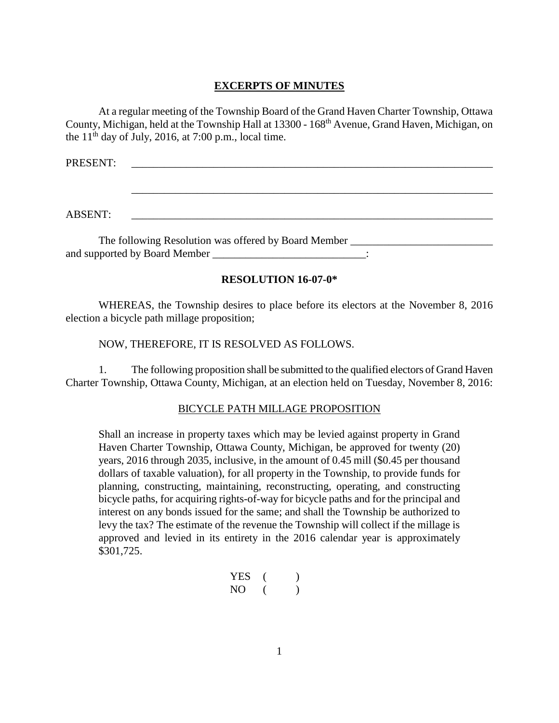#### **EXCERPTS OF MINUTES**

At a regular meeting of the Township Board of the Grand Haven Charter Township, Ottawa County, Michigan, held at the Township Hall at 13300 - 168<sup>th</sup> Avenue, Grand Haven, Michigan, on the  $11<sup>th</sup>$  day of July, 2016, at 7:00 p.m., local time.

\_\_\_\_\_\_\_\_\_\_\_\_\_\_\_\_\_\_\_\_\_\_\_\_\_\_\_\_\_\_\_\_\_\_\_\_\_\_\_\_\_\_\_\_\_\_\_\_\_\_\_\_\_\_\_\_\_\_\_\_\_\_\_\_\_\_

PRESENT:

ABSENT: \_\_\_\_\_\_\_\_\_\_\_\_\_\_\_\_\_\_\_\_\_\_\_\_\_\_\_\_\_\_\_\_\_\_\_\_\_\_\_\_\_\_\_\_\_\_\_\_\_\_\_\_\_\_\_\_\_\_\_\_\_\_\_\_\_\_

The following Resolution was offered by Board Member \_\_\_\_\_\_\_\_\_\_\_\_\_\_\_\_\_\_\_\_\_\_\_\_\_\_\_ and supported by Board Member \_\_\_\_\_\_\_\_\_\_\_\_\_\_\_\_\_\_\_\_\_\_\_\_\_\_\_\_\_:

#### **RESOLUTION 16-07-0\***

WHEREAS, the Township desires to place before its electors at the November 8, 2016 election a bicycle path millage proposition;

NOW, THEREFORE, IT IS RESOLVED AS FOLLOWS.

1. The following proposition shall be submitted to the qualified electors of Grand Haven Charter Township, Ottawa County, Michigan, at an election held on Tuesday, November 8, 2016:

#### BICYCLE PATH MILLAGE PROPOSITION

Shall an increase in property taxes which may be levied against property in Grand Haven Charter Township, Ottawa County, Michigan, be approved for twenty (20) years, 2016 through 2035, inclusive, in the amount of 0.45 mill (\$0.45 per thousand dollars of taxable valuation), for all property in the Township, to provide funds for planning, constructing, maintaining, reconstructing, operating, and constructing bicycle paths, for acquiring rights-of-way for bicycle paths and for the principal and interest on any bonds issued for the same; and shall the Township be authorized to levy the tax? The estimate of the revenue the Township will collect if the millage is approved and levied in its entirety in the 2016 calendar year is approximately \$301,725.

$$
\begin{array}{ccc}\n\text{YES} & ( & ) \\
\text{NO} & ( & )\n\end{array}
$$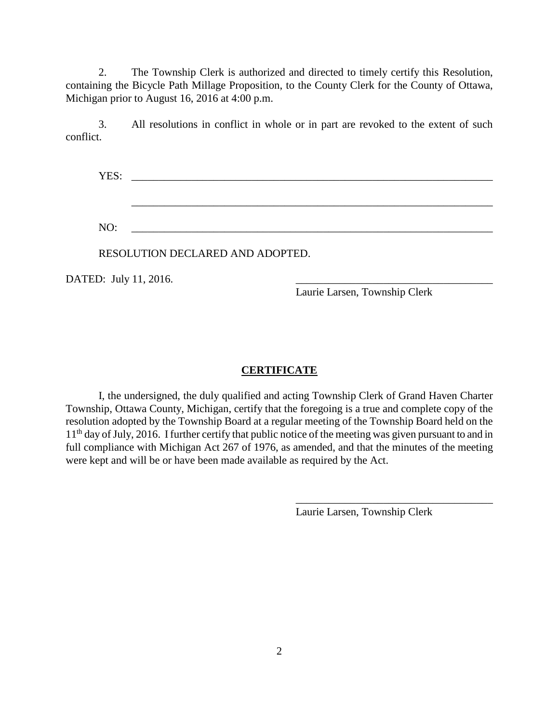2. The Township Clerk is authorized and directed to timely certify this Resolution, containing the Bicycle Path Millage Proposition, to the County Clerk for the County of Ottawa, Michigan prior to August 16, 2016 at 4:00 p.m.

3. All resolutions in conflict in whole or in part are revoked to the extent of such conflict.

YES: \_\_\_\_\_\_\_\_\_\_\_\_\_\_\_\_\_\_\_\_\_\_\_\_\_\_\_\_\_\_\_\_\_\_\_\_\_\_\_\_\_\_\_\_\_\_\_\_\_\_\_\_\_\_\_\_\_\_\_\_\_\_\_\_\_\_

\_\_\_\_\_\_\_\_\_\_\_\_\_\_\_\_\_\_\_\_\_\_\_\_\_\_\_\_\_\_\_\_\_\_\_\_\_\_\_\_\_\_\_\_\_\_\_\_\_\_\_\_\_\_\_\_\_\_\_\_\_\_\_\_\_\_

NO: \_\_\_\_\_\_\_\_\_\_\_\_\_\_\_\_\_\_\_\_\_\_\_\_\_\_\_\_\_\_\_\_\_\_\_\_\_\_\_\_\_\_\_\_\_\_\_\_\_\_\_\_\_\_\_\_\_\_\_\_\_\_\_\_\_\_

RESOLUTION DECLARED AND ADOPTED.

DATED: July 11, 2016.

Laurie Larsen, Township Clerk

#### **CERTIFICATE**

I, the undersigned, the duly qualified and acting Township Clerk of Grand Haven Charter Township, Ottawa County, Michigan, certify that the foregoing is a true and complete copy of the resolution adopted by the Township Board at a regular meeting of the Township Board held on the 11<sup>th</sup> day of July, 2016. I further certify that public notice of the meeting was given pursuant to and in full compliance with Michigan Act 267 of 1976, as amended, and that the minutes of the meeting were kept and will be or have been made available as required by the Act.

Laurie Larsen, Township Clerk

\_\_\_\_\_\_\_\_\_\_\_\_\_\_\_\_\_\_\_\_\_\_\_\_\_\_\_\_\_\_\_\_\_\_\_\_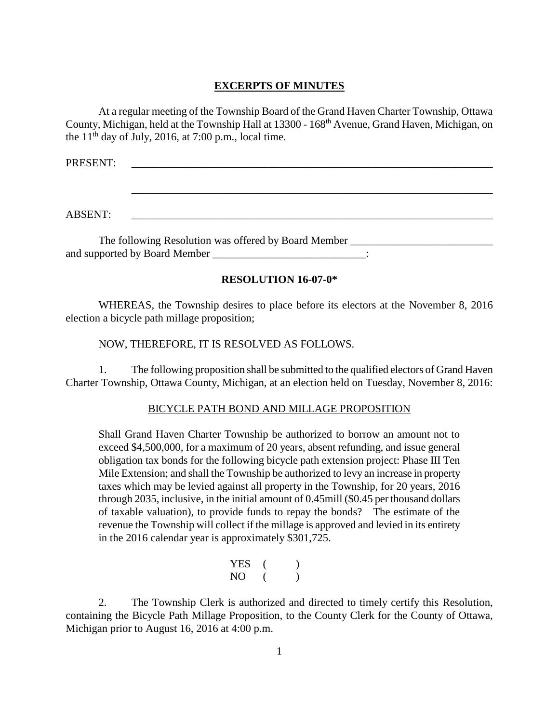#### **EXCERPTS OF MINUTES**

At a regular meeting of the Township Board of the Grand Haven Charter Township, Ottawa County, Michigan, held at the Township Hall at 13300 - 168<sup>th</sup> Avenue, Grand Haven, Michigan, on the  $11<sup>th</sup>$  day of July, 2016, at 7:00 p.m., local time.

\_\_\_\_\_\_\_\_\_\_\_\_\_\_\_\_\_\_\_\_\_\_\_\_\_\_\_\_\_\_\_\_\_\_\_\_\_\_\_\_\_\_\_\_\_\_\_\_\_\_\_\_\_\_\_\_\_\_\_\_\_\_\_\_\_\_

PRESENT:

ABSENT: \_\_\_\_\_\_\_\_\_\_\_\_\_\_\_\_\_\_\_\_\_\_\_\_\_\_\_\_\_\_\_\_\_\_\_\_\_\_\_\_\_\_\_\_\_\_\_\_\_\_\_\_\_\_\_\_\_\_\_\_\_\_\_\_\_\_

The following Resolution was offered by Board Member \_\_\_\_\_\_\_\_\_\_\_\_\_\_\_\_\_\_\_\_\_\_\_\_\_\_\_ and supported by Board Member \_\_\_\_\_\_\_\_\_\_\_\_\_\_\_\_\_\_\_\_\_\_\_\_\_\_\_\_\_:

#### **RESOLUTION 16-07-0\***

WHEREAS, the Township desires to place before its electors at the November 8, 2016 election a bicycle path millage proposition;

NOW, THEREFORE, IT IS RESOLVED AS FOLLOWS.

1. The following proposition shall be submitted to the qualified electors of Grand Haven Charter Township, Ottawa County, Michigan, at an election held on Tuesday, November 8, 2016:

#### BICYCLE PATH BOND AND MILLAGE PROPOSITION

Shall Grand Haven Charter Township be authorized to borrow an amount not to exceed \$4,500,000, for a maximum of 20 years, absent refunding, and issue general obligation tax bonds for the following bicycle path extension project: Phase III Ten Mile Extension; and shall the Township be authorized to levy an increase in property taxes which may be levied against all property in the Township, for 20 years, 2016 through 2035, inclusive, in the initial amount of 0.45mill (\$0.45 per thousand dollars of taxable valuation), to provide funds to repay the bonds? The estimate of the revenue the Township will collect if the millage is approved and levied in its entirety in the 2016 calendar year is approximately \$301,725.

> $YES$  ( ) NO ( )

2. The Township Clerk is authorized and directed to timely certify this Resolution, containing the Bicycle Path Millage Proposition, to the County Clerk for the County of Ottawa, Michigan prior to August 16, 2016 at 4:00 p.m.